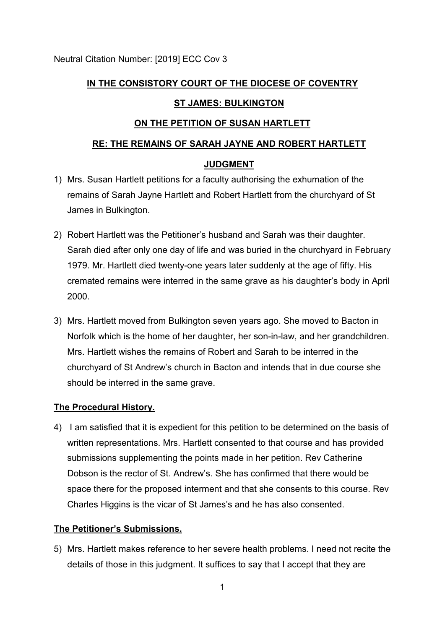# **IN THE CONSISTORY COURT OF THE DIOCESE OF COVENTRY**

## **ST JAMES: BULKINGTON**

## **ON THE PETITION OF SUSAN HARTLETT**

# **RE: THE REMAINS OF SARAH JAYNE AND ROBERT HARTLETT**

### **JUDGMENT**

- 1) Mrs. Susan Hartlett petitions for a faculty authorising the exhumation of the remains of Sarah Jayne Hartlett and Robert Hartlett from the churchyard of St James in Bulkington.
- 2) Robert Hartlett was the Petitioner's husband and Sarah was their daughter. Sarah died after only one day of life and was buried in the churchyard in February 1979. Mr. Hartlett died twenty-one years later suddenly at the age of fifty. His cremated remains were interred in the same grave as his daughter's body in April 2000.
- 3) Mrs. Hartlett moved from Bulkington seven years ago. She moved to Bacton in Norfolk which is the home of her daughter, her son-in-law, and her grandchildren. Mrs. Hartlett wishes the remains of Robert and Sarah to be interred in the churchyard of St Andrew's church in Bacton and intends that in due course she should be interred in the same grave.

#### **The Procedural History.**

4) I am satisfied that it is expedient for this petition to be determined on the basis of written representations. Mrs. Hartlett consented to that course and has provided submissions supplementing the points made in her petition. Rev Catherine Dobson is the rector of St. Andrew's. She has confirmed that there would be space there for the proposed interment and that she consents to this course. Rev Charles Higgins is the vicar of St James's and he has also consented.

## **The Petitioner's Submissions.**

5) Mrs. Hartlett makes reference to her severe health problems. I need not recite the details of those in this judgment. It suffices to say that I accept that they are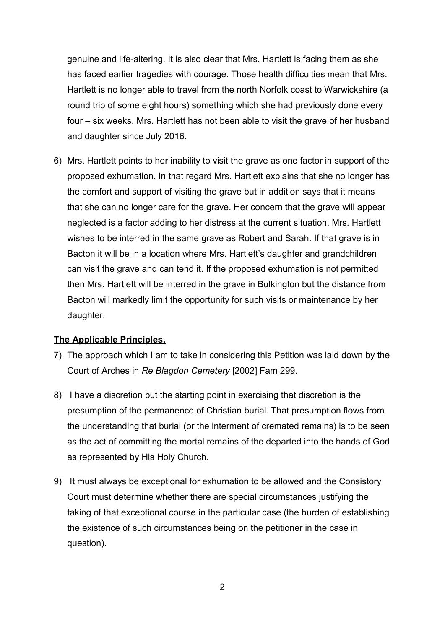genuine and life-altering. It is also clear that Mrs. Hartlett is facing them as she has faced earlier tragedies with courage. Those health difficulties mean that Mrs. Hartlett is no longer able to travel from the north Norfolk coast to Warwickshire (a round trip of some eight hours) something which she had previously done every four – six weeks. Mrs. Hartlett has not been able to visit the grave of her husband and daughter since July 2016.

6) Mrs. Hartlett points to her inability to visit the grave as one factor in support of the proposed exhumation. In that regard Mrs. Hartlett explains that she no longer has the comfort and support of visiting the grave but in addition says that it means that she can no longer care for the grave. Her concern that the grave will appear neglected is a factor adding to her distress at the current situation. Mrs. Hartlett wishes to be interred in the same grave as Robert and Sarah. If that grave is in Bacton it will be in a location where Mrs. Hartlett's daughter and grandchildren can visit the grave and can tend it. If the proposed exhumation is not permitted then Mrs. Hartlett will be interred in the grave in Bulkington but the distance from Bacton will markedly limit the opportunity for such visits or maintenance by her daughter.

#### **The Applicable Principles.**

- 7) The approach which I am to take in considering this Petition was laid down by the Court of Arches in *Re Blagdon Cemetery* [2002] Fam 299.
- 8) I have a discretion but the starting point in exercising that discretion is the presumption of the permanence of Christian burial. That presumption flows from the understanding that burial (or the interment of cremated remains) is to be seen as the act of committing the mortal remains of the departed into the hands of God as represented by His Holy Church.
- 9) It must always be exceptional for exhumation to be allowed and the Consistory Court must determine whether there are special circumstances justifying the taking of that exceptional course in the particular case (the burden of establishing the existence of such circumstances being on the petitioner in the case in question).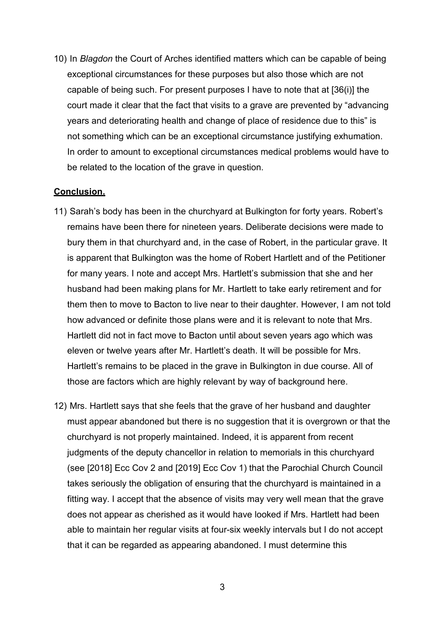10) In *Blagdon* the Court of Arches identified matters which can be capable of being exceptional circumstances for these purposes but also those which are not capable of being such. For present purposes I have to note that at [36(i)] the court made it clear that the fact that visits to a grave are prevented by "advancing years and deteriorating health and change of place of residence due to this" is not something which can be an exceptional circumstance justifying exhumation. In order to amount to exceptional circumstances medical problems would have to be related to the location of the grave in question.

#### **Conclusion.**

- 11) Sarah's body has been in the churchyard at Bulkington for forty years. Robert's remains have been there for nineteen years. Deliberate decisions were made to bury them in that churchyard and, in the case of Robert, in the particular grave. It is apparent that Bulkington was the home of Robert Hartlett and of the Petitioner for many years. I note and accept Mrs. Hartlett's submission that she and her husband had been making plans for Mr. Hartlett to take early retirement and for them then to move to Bacton to live near to their daughter. However, I am not told how advanced or definite those plans were and it is relevant to note that Mrs. Hartlett did not in fact move to Bacton until about seven years ago which was eleven or twelve years after Mr. Hartlett's death. It will be possible for Mrs. Hartlett's remains to be placed in the grave in Bulkington in due course. All of those are factors which are highly relevant by way of background here.
- 12) Mrs. Hartlett says that she feels that the grave of her husband and daughter must appear abandoned but there is no suggestion that it is overgrown or that the churchyard is not properly maintained. Indeed, it is apparent from recent judgments of the deputy chancellor in relation to memorials in this churchyard (see [2018] Ecc Cov 2 and [2019] Ecc Cov 1) that the Parochial Church Council takes seriously the obligation of ensuring that the churchyard is maintained in a fitting way. I accept that the absence of visits may very well mean that the grave does not appear as cherished as it would have looked if Mrs. Hartlett had been able to maintain her regular visits at four-six weekly intervals but I do not accept that it can be regarded as appearing abandoned. I must determine this